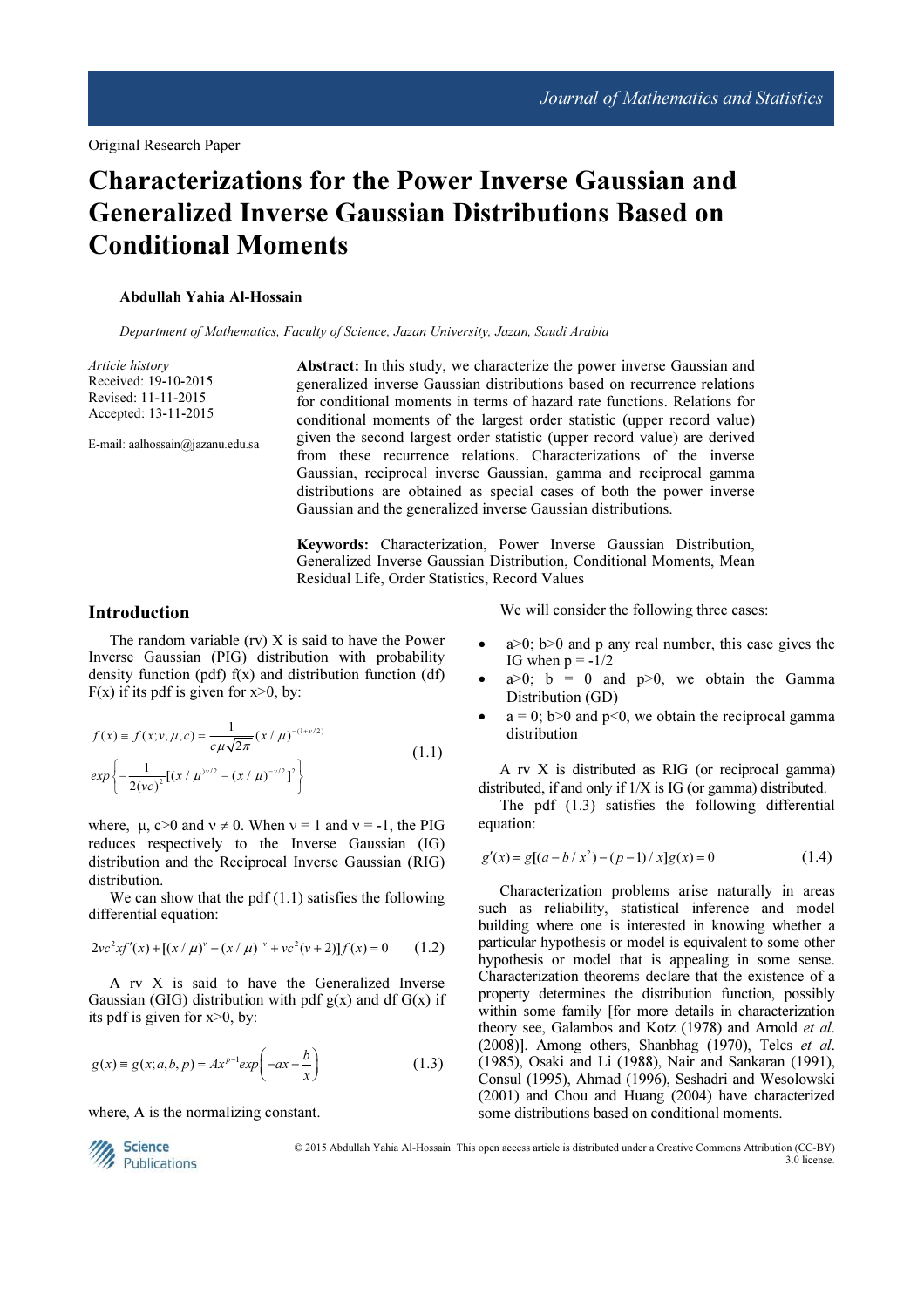# Characterizations for the Power Inverse Gaussian and Generalized Inverse Gaussian Distributions Based on Conditional Moments

#### Abdullah Yahia Al-Hossain

Department of Mathematics, Faculty of Science, Jazan University, Jazan, Saudi Arabia

Article history Received: 19-10-2015 Revised: 11-11-2015 Accepted: 13-11-2015

E-mail: aalhossain@jazanu.edu.sa

Abstract: In this study, we characterize the power inverse Gaussian and generalized inverse Gaussian distributions based on recurrence relations for conditional moments in terms of hazard rate functions. Relations for conditional moments of the largest order statistic (upper record value) given the second largest order statistic (upper record value) are derived from these recurrence relations. Characterizations of the inverse Gaussian, reciprocal inverse Gaussian, gamma and reciprocal gamma distributions are obtained as special cases of both the power inverse Gaussian and the generalized inverse Gaussian distributions.

Keywords: Characterization, Power Inverse Gaussian Distribution, Generalized Inverse Gaussian Distribution, Conditional Moments, Mean Residual Life, Order Statistics, Record Values

### Introduction

The random variable (rv) X is said to have the Power Inverse Gaussian (PIG) distribution with probability density function (pdf)  $f(x)$  and distribution function (df)  $F(x)$  if its pdf is given for  $x>0$ , by:

$$
f(x) = f(x; v, \mu, c) = \frac{1}{c\mu\sqrt{2\pi}} (x/\mu)^{-(1+v/2)}
$$
  
\n
$$
exp\left\{-\frac{1}{2(vc)^2}[(x/\mu)^{v/2} - (x/\mu)^{-v/2}]^2\right\}
$$
\n(1.1)

where,  $\mu$ ,  $c > 0$  and  $v \neq 0$ . When  $v = 1$  and  $v = -1$ , the PIG reduces respectively to the Inverse Gaussian (IG) distribution and the Reciprocal Inverse Gaussian (RIG) distribution.

We can show that the pdf  $(1.1)$  satisfies the following differential equation:

$$
2\nu c^{2}x f'(x) + [(x/\mu)^{\nu} - (x/\mu)^{-\nu} + \nu c^{2}(\nu+2)]f(x) = 0 \qquad (1.2)
$$

A rv X is said to have the Generalized Inverse Gaussian (GIG) distribution with pdf  $g(x)$  and df  $G(x)$  if its pdf is given for x>0, by:

$$
g(x) \equiv g(x; a, b, p) = Ax^{p-1} \exp\left(-ax - \frac{b}{x}\right)
$$
 (1.3)

where, A is the normalizing constant.



- $a>0$ ;  $b>0$  and p any real number, this case gives the IG when  $p = -1/2$
- $a>0$ ;  $b = 0$  and  $p>0$ , we obtain the Gamma Distribution (GD)
- $a = 0$ ; b>0 and p<0, we obtain the reciprocal gamma distribution

A rv X is distributed as RIG (or reciprocal gamma) distributed, if and only if 1/X is IG (or gamma) distributed.

The pdf (1.3) satisfies the following differential equation:

$$
g'(x) = g[(a - b / x^2) - (p - 1) / x]g(x) = 0
$$
\n(1.4)

Characterization problems arise naturally in areas such as reliability, statistical inference and model building where one is interested in knowing whether a particular hypothesis or model is equivalent to some other hypothesis or model that is appealing in some sense. Characterization theorems declare that the existence of a property determines the distribution function, possibly within some family [for more details in characterization theory see, Galambos and Kotz (1978) and Arnold et al. (2008)]. Among others, Shanbhag (1970), Telcs et al. (1985), Osaki and Li (1988), Nair and Sankaran (1991), Consul (1995), Ahmad (1996), Seshadri and Wesolowski (2001) and Chou and Huang (2004) have characterized some distributions based on conditional moments.



© 2015 Abdullah Yahia Al-Hossain. This open access article is distributed under a Creative Commons Attribution (CC-BY) 3.0 license.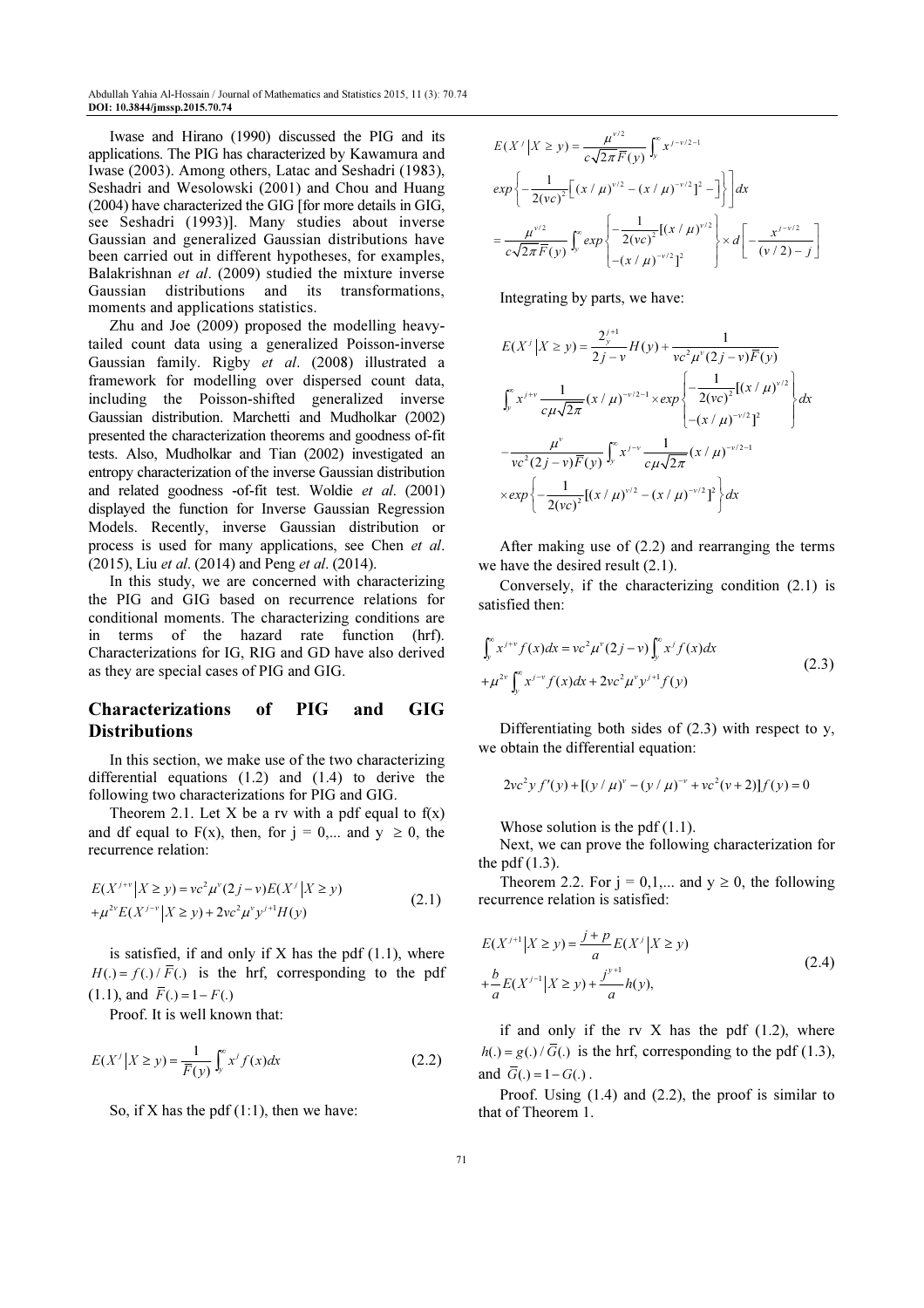Abdullah Yahia Al-Hossain / Journal of Mathematics and Statistics 2015, 11 (3): 70.74 DOI: 10.3844/jmssp.2015.70.74

Iwase and Hirano (1990) discussed the PIG and its applications. The PIG has characterized by Kawamura and Iwase (2003). Among others, Latac and Seshadri (1983), Seshadri and Wesolowski (2001) and Chou and Huang (2004) have characterized the GIG [for more details in GIG, see Seshadri (1993)]. Many studies about inverse Gaussian and generalized Gaussian distributions have been carried out in different hypotheses, for examples, Balakrishnan et al. (2009) studied the mixture inverse Gaussian distributions and its transformations, moments and applications statistics.

Zhu and Joe (2009) proposed the modelling heavytailed count data using a generalized Poisson-inverse Gaussian family. Rigby et al. (2008) illustrated a framework for modelling over dispersed count data, including the Poisson-shifted generalized inverse Gaussian distribution. Marchetti and Mudholkar (2002) presented the characterization theorems and goodness of-fit tests. Also, Mudholkar and Tian (2002) investigated an entropy characterization of the inverse Gaussian distribution and related goodness -of-fit test. Woldie et al. (2001) displayed the function for Inverse Gaussian Regression Models. Recently, inverse Gaussian distribution or process is used for many applications, see Chen et al. (2015), Liu et al. (2014) and Peng et al. (2014).

In this study, we are concerned with characterizing the PIG and GIG based on recurrence relations for conditional moments. The characterizing conditions are in terms of the hazard rate function (hrf). Characterizations for IG, RIG and GD have also derived as they are special cases of PIG and GIG.

## Characterizations of PIG and GIG **Distributions**

In this section, we make use of the two characterizing differential equations (1.2) and (1.4) to derive the following two characterizations for PIG and GIG.

Theorem 2.1. Let X be a rv with a pdf equal to  $f(x)$ and df equal to F(x), then, for  $j = 0,...$  and  $y \ge 0$ , the recurrence relation:

$$
E(X^{j+v}|X \ge y) = ve^2 \mu^v (2j - v) E(X^j | X \ge y)
$$
  
+  $\mu^{2v} E(X^{j-v}|X \ge y) + 2vc^2 \mu^v y^{j+1} H(y)$  (2.1)

is satisfied, if and only if  $X$  has the pdf  $(1.1)$ , where  $H(.) = f(.) / \overline{F}(.)$  is the hrf, corresponding to the pdf (1.1), and  $\overline{F}$ (.) = 1 –  $F$ (.)

Proof. It is well known that:

$$
E(X^j | X \ge y) = \frac{1}{\overline{F}(y)} \int_y^\infty x^j f(x) dx \tag{2.2}
$$

So, if X has the pdf  $(1:1)$ , then we have:

$$
E(X^j | X \ge y) = \frac{\mu^{y/2}}{c\sqrt{2\pi F}(y)} \int_y^{\infty} x^{j - v/2 - 1}
$$
  
\n
$$
exp \left\{ -\frac{1}{2(vc)^2} \Big[ (x / \mu)^{y/2} - (x / \mu)^{-v/2} \Big]^2 - \Big] \right\} dx
$$
  
\n
$$
= \frac{\mu^{v/2}}{c\sqrt{2\pi F}(y)} \int_y^{\infty} exp \left\{ -\frac{1}{2(vc)^2} \Big[ (x / \mu)^{v/2} \Big] \times d \Big[ -\frac{x^{j - v/2}}{(v/2) - j} \Big] \right\}
$$

Integrating by parts, we have:

$$
E(X^j | X \ge y) = \frac{2_y^{j+1}}{2j - v} H(y) + \frac{1}{vc^2 \mu^v (2j - v) \overline{F}(y)}
$$
  

$$
\int_y^{\infty} x^{j+v} \frac{1}{c\mu \sqrt{2\pi}} (x/\mu)^{-v/2-1} \times exp \left\{ -\frac{1}{2(vc)^2} [(x/\mu)^{v/2}]^2 + \frac{\mu^v}{vc^2 (2j - v) \overline{F}(y)} \int_y^{\infty} x^{j-v} \frac{1}{c\mu \sqrt{2\pi}} (x/\mu)^{-v/2-1} \right\} dx
$$
  

$$
\times exp \left\{ -\frac{1}{2(vc)^2} [(x/\mu)^{v/2} - (x/\mu)^{-v/2}]^2 \right\} dx
$$

After making use of (2.2) and rearranging the terms we have the desired result (2.1).

Conversely, if the characterizing condition (2.1) is satisfied then:

$$
\int_{y}^{\infty} x^{j+v} f(x) dx = v c^{2} \mu^{\nu} (2j - v) \int_{y}^{\infty} x^{j} f(x) dx
$$
  
+ 
$$
\mu^{2\nu} \int_{y}^{\infty} x^{j-\nu} f(x) dx + 2v c^{2} \mu^{\nu} y^{j+1} f(y)
$$
 (2.3)

Differentiating both sides of (2.3) with respect to y, we obtain the differential equation:

$$
2vc^{2}y f'(y) + [(y/\mu)^{v} - (y/\mu)^{-v} + vc^{2}(v+2)]f(y) = 0
$$

Whose solution is the pdf (1.1).

Next, we can prove the following characterization for the pdf  $(1.3)$ .

Theorem 2.2. For  $j = 0,1,...$  and  $y \ge 0$ , the following recurrence relation is satisfied:

$$
E(X^{j+1}|X \ge y) = \frac{j+p}{a} E(X^{j}|X \ge y)
$$
  
+ 
$$
\frac{b}{a} E(X^{j-1}|X \ge y) + \frac{j^{y+1}}{a} h(y),
$$
 (2.4)

if and only if the rv  $X$  has the pdf  $(1.2)$ , where  $h(.) = g(.) / \overline{G}(.)$  is the hrf, corresponding to the pdf (1.3), and  $\overline{G}(.) = 1 - G(.)$ .

Proof. Using (1.4) and (2.2), the proof is similar to that of Theorem 1.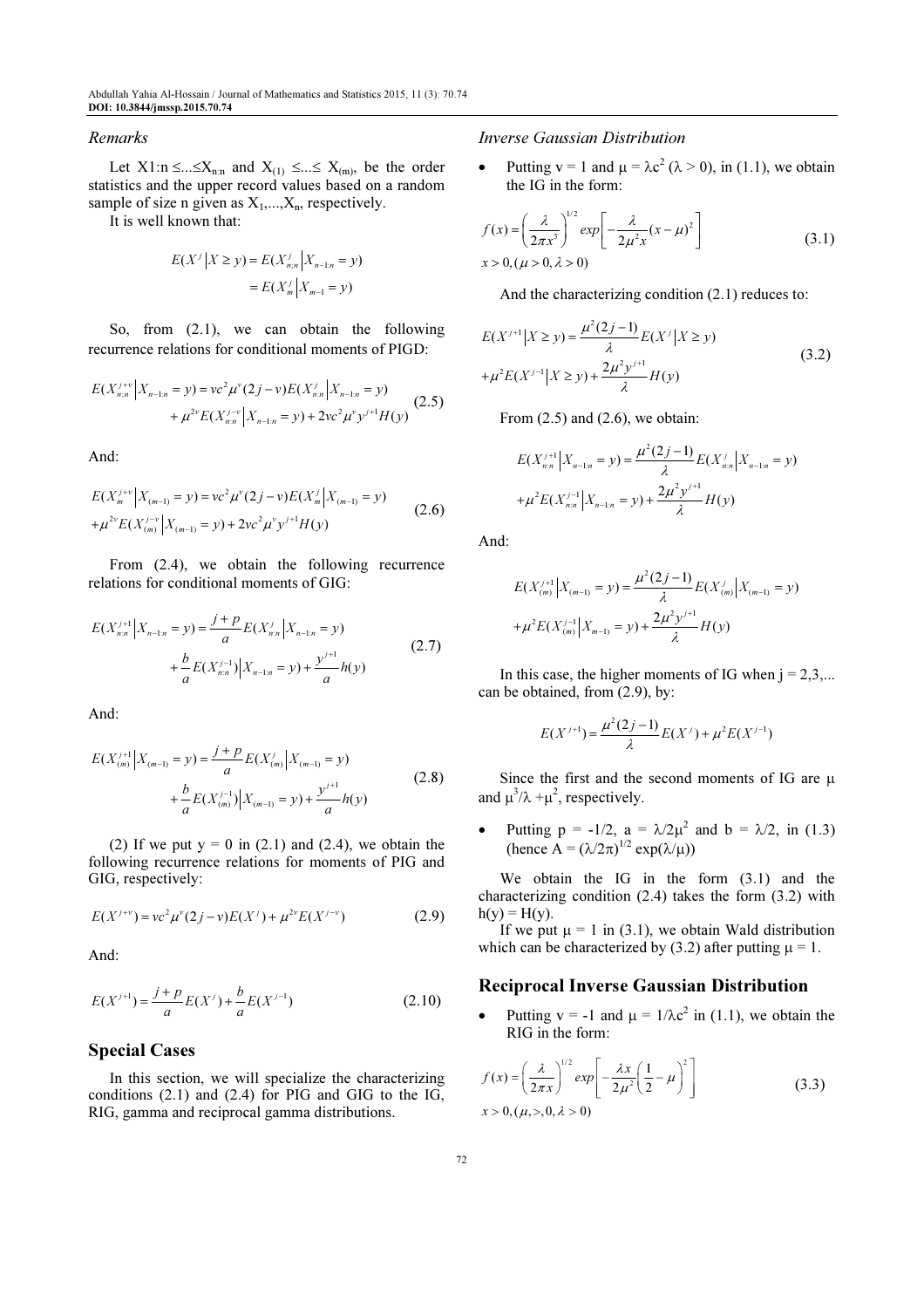#### Remarks

Let  $X1:n \leq ... \leq X_{n:n}$  and  $X_{(1)} \leq ... \leq X_{(m)}$ , be the order statistics and the upper record values based on a random sample of size n given as  $X_1, \ldots, X_n$ , respectively.

It is well known that:

$$
E(X^j | X \ge y) = E(X_{n,n}^j | X_{n-1:n} = y)
$$
  
=  $E(X_n^j | X_{n-1} = y)$ 

So, from (2.1), we can obtain the following recurrence relations for conditional moments of PIGD:

$$
E(X_{n;n}^{j+v}|X_{n-1:n} = y) = vc^2 \mu^v (2j - v) E(X_{n;n}^j | X_{n-1:n} = y) + \mu^{2v} E(X_{n;n}^{j-v}|X_{n-1:n} = y) + 2vc^2 \mu^v y^{j+1} H(y)
$$
(2.5)

And:

$$
E(X_m^{j+v}|X_{(m-1)} = y) = vc^2 \mu^v (2j - v) E(X_m^j | X_{(m-1)} = y)
$$
  
+  $\mu^{2v} E(X_{(m)}^{j-v} | X_{(m-1)} = y) + 2vc^2 \mu^v y^{j+1} H(y)$  (2.6)

From  $(2.4)$ , we obtain the following recurrence relations for conditional moments of GIG:

$$
E(X_{n:n}^{j+1} | X_{n-1:n} = y) = \frac{j+p}{a} E(X_{n:n}^{j} | X_{n-1:n} = y)
$$
  
+ 
$$
\frac{b}{a} E(X_{n:n}^{j-1}) | X_{n-1:n} = y) + \frac{y^{j+1}}{a} h(y)
$$
 (2.7)

And:

$$
E(X_{(m)}^{j+1} | X_{(m-1)} = y) = \frac{j+p}{a} E(X_{(m)}^{j} | X_{(m-1)} = y)
$$
  
+ 
$$
\frac{b}{a} E(X_{(m)}^{j-1}) | X_{(m-1)} = y) + \frac{y^{j+1}}{a} h(y)
$$
 (2.8)

(2) If we put  $y = 0$  in (2.1) and (2.4), we obtain the following recurrence relations for moments of PIG and GIG, respectively:

$$
E(X^{j+v}) = vc^2 \mu^v (2j - v) E(X^j) + \mu^{2v} E(X^{j-v})
$$
 (2.9)

And:

$$
E(X^{j+1}) = \frac{j+p}{a}E(X^j) + \frac{b}{a}E(X^{j-1})
$$
\n(2.10)

### Special Cases

In this section, we will specialize the characterizing conditions (2.1) and (2.4) for PIG and GIG to the IG, RIG, gamma and reciprocal gamma distributions.

#### Inverse Gaussian Distribution

• Putting  $v = 1$  and  $\mu = \lambda c^2$  ( $\lambda > 0$ ), in (1.1), we obtain the IG in the form:

$$
f(x) = \left(\frac{\lambda}{2\pi x^3}\right)^{1/2} exp\left[-\frac{\lambda}{2\mu^2 x}(x-\mu)^2\right]
$$
  
x > 0,  $(\mu > 0, \lambda > 0)$  (3.1)

And the characterizing condition (2.1) reduces to:

$$
E(X^{j+1}|X \ge y) = \frac{\mu^2(2j-1)}{\lambda} E(X^j|X \ge y)
$$
  
+  $\mu^2 E(X^{j-1}|X \ge y) + \frac{2\mu^2 y^{j+1}}{\lambda} H(y)$  (3.2)

From  $(2.5)$  and  $(2.6)$ , we obtain:

$$
E(X_{n:n}^{j+1} | X_{n-1:n} = y) = \frac{\mu^2 (2j-1)}{\lambda} E(X_{n:n}^{j} | X_{n-1:n} = y)
$$

$$
+ \mu^2 E(X_{n:n}^{j-1} | X_{n-1:n} = y) + \frac{2\mu^2 y^{j+1}}{\lambda} H(y)
$$

And:

$$
E(X_{(m)}^{j+1} | X_{(m-1)} = y) = \frac{\mu^2 (2j-1)}{\lambda} E(X_{(m)}^{j} | X_{(m-1)} = y)
$$
  
+  $\mu^2 E(X_{(m)}^{j-1} | X_{m-1} = y) + \frac{2\mu^2 y^{j+1}}{\lambda} H(y)$ 

In this case, the higher moments of IG when  $j = 2,3,...$ can be obtained, from (2.9), by:

$$
E(X^{j+1}) = \frac{\mu^2(2j-1)}{\lambda}E(X^j) + \mu^2 E(X^{j-1})
$$

Since the first and the second moments of IG are  $\mu$ and  $\mu^3/\lambda + \mu^2$ , respectively.

• Putting  $p = -1/2$ ,  $a = \lambda/2\mu^2$  and  $b = \lambda/2$ , in (1.3) (hence  $A = (\lambda/2\pi)^{1/2} \exp(\lambda/\mu)$ )

We obtain the IG in the form  $(3.1)$  and the characterizing condition (2.4) takes the form (3.2) with  $h(y) = H(y)$ .

If we put  $\mu = 1$  in (3.1), we obtain Wald distribution which can be characterized by (3.2) after putting  $\mu = 1$ .

#### Reciprocal Inverse Gaussian Distribution

• Putting  $v = -1$  and  $\mu = 1/\lambda c^2$  in (1.1), we obtain the RIG in the form:

$$
f(x) = \left(\frac{\lambda}{2\pi x}\right)^{1/2} exp\left[-\frac{\lambda x}{2\mu^2} \left(\frac{1}{2} - \mu\right)^2\right]
$$
  
\n
$$
x > 0, (\mu, >, 0, \lambda > 0)
$$
\n(3.3)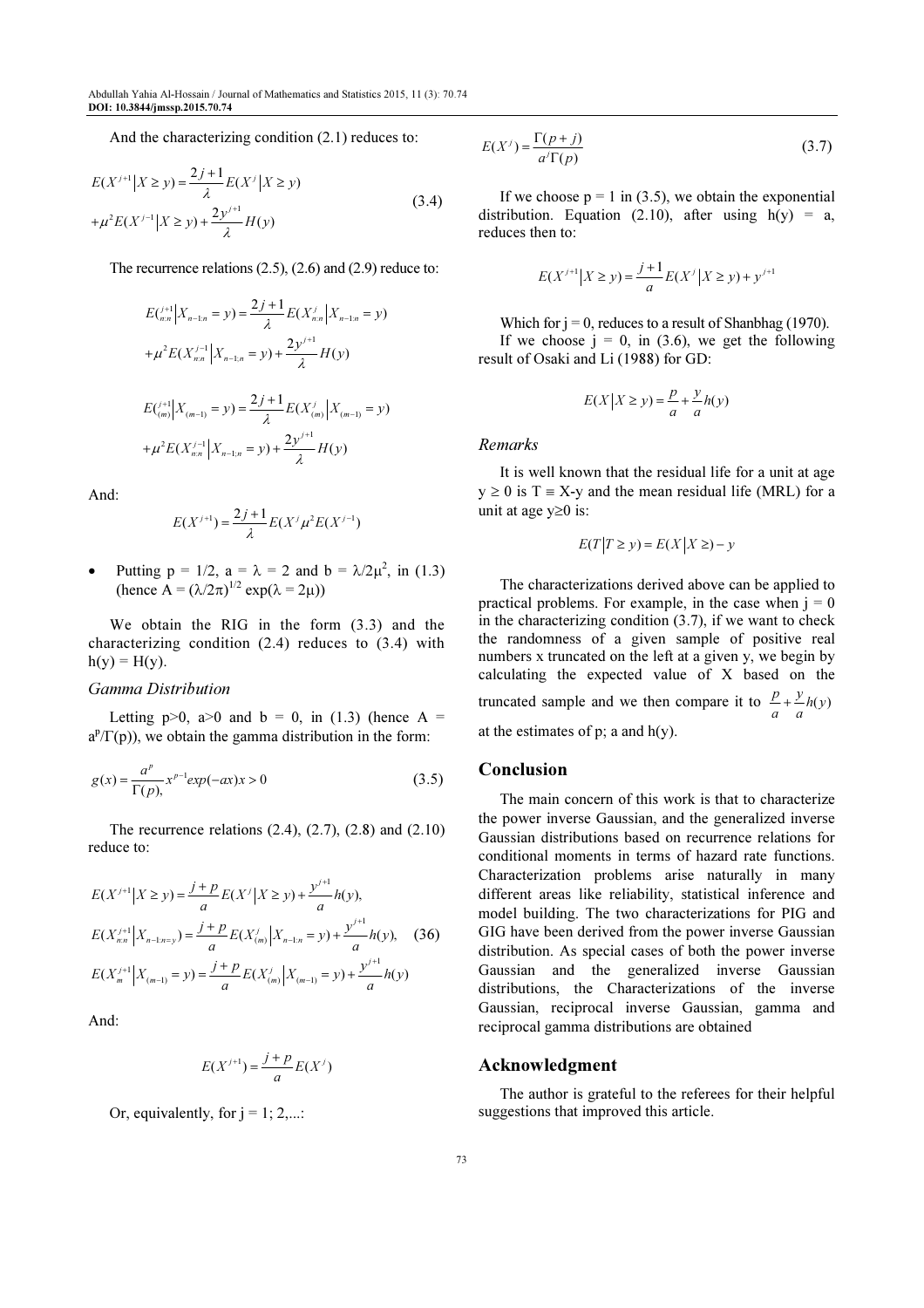And the characterizing condition (2.1) reduces to:

$$
E(X^{j+1}|X \ge y) = \frac{2j+1}{\lambda} E(X^{j}|X \ge y)
$$
  
+  $\mu^2 E(X^{j-1}|X \ge y) + \frac{2y^{j+1}}{\lambda}H(y)$  (3.4)

The recurrence relations (2.5), (2.6) and (2.9) reduce to:

$$
E\left(\begin{matrix}j+1\\n\end{matrix}\Big|X_{n-1:n}=y\right) = \frac{2j+1}{\lambda}E(X_{nn}^j|X_{n-1:n}=y)
$$
  
+  $\mu^2 E(X_{nn}^{j-1}|X_{n-1:n}=y) + \frac{2y^{j+1}}{\lambda}H(y)$   
 $E\left(\begin{matrix}j+1\\m\end{matrix}\Big|X_{(m-1)}=y\right) = \frac{2j+1}{\lambda}E(X_{(m)}^j|X_{(m-1)}=y)$   
+  $\mu^2 E(X_{nn}^{j-1}|X_{n-1:n}=y) + \frac{2y^{j+1}}{\lambda}H(y)$ 

And:

$$
E(X^{j+1}) = \frac{2j+1}{\lambda} E(X^{j} \mu^{2} E(X^{j-1}))
$$

• Putting  $p = 1/2$ ,  $a = \lambda = 2$  and  $b = \lambda/2\mu^2$ , in (1.3) (hence  $A = (\lambda/2\pi)^{1/2} \exp(\lambda = 2\mu)$ )

We obtain the RIG in the form (3.3) and the characterizing condition  $(2.4)$  reduces to  $(3.4)$  with  $h(y) = H(y)$ .

#### Gamma Distribution

Letting  $p>0$ ,  $a>0$  and  $b = 0$ , in (1.3) (hence A =  $a^p/\Gamma(p)$ , we obtain the gamma distribution in the form:

$$
g(x) = \frac{a^p}{\Gamma(p)}, x^{p-1} \exp(-ax) x > 0
$$
 (3.5)

The recurrence relations  $(2.4)$ ,  $(2.7)$ ,  $(2.8)$  and  $(2.10)$ reduce to:

$$
E(X^{j+1}|X \ge y) = \frac{j+p}{a}E(X^{j}|X \ge y) + \frac{y^{j+1}}{a}h(y),
$$
  
\n
$$
E(X_{n:n}^{j+1}|X_{n-1:n=y}) = \frac{j+p}{a}E(X_{(m)}^{j}|X_{n-1:n} = y) + \frac{y^{j+1}}{a}h(y),
$$
 (36)  
\n
$$
E(X_{m}^{j+1}|X_{(m-1)} = y) = \frac{j+p}{a}E(X_{(m)}^{j}|X_{(m-1)} = y) + \frac{y^{j+1}}{a}h(y)
$$

And:

$$
E(X^{j+1}) = \frac{j+p}{a}E(X^j)
$$

Or, equivalently, for  $j = 1; 2,...$ :

$$
E(X^{j}) = \frac{\Gamma(p+j)}{a^{j}\Gamma(p)}
$$
\n(3.7)

If we choose  $p = 1$  in (3.5), we obtain the exponential distribution. Equation (2.10), after using  $h(y) = a$ , reduces then to:

$$
E(X^{j+1}|X \ge y) = \frac{j+1}{a}E(X^{j}|X \ge y) + y^{j+1}
$$

Which for  $j = 0$ , reduces to a result of Shanbhag (1970). If we choose  $j = 0$ , in (3.6), we get the following result of Osaki and Li (1988) for GD:

$$
E(X | X \ge y) = \frac{p}{a} + \frac{y}{a}h(y)
$$

Remarks

It is well known that the residual life for a unit at age  $y \ge 0$  is T = X-y and the mean residual life (MRL) for a unit at age y≥0 is:

$$
E(T|T \ge y) = E(X|X \ge) - y
$$

The characterizations derived above can be applied to practical problems. For example, in the case when  $j = 0$ in the characterizing condition  $(3.7)$ , if we want to check the randomness of a given sample of positive real numbers x truncated on the left at a given y, we begin by calculating the expected value of X based on the truncated sample and we then compare it to  $\frac{p}{a} + \frac{y}{a} h(y)$ + at the estimates of  $p$ ; a and  $h(y)$ .

#### Conclusion

The main concern of this work is that to characterize the power inverse Gaussian, and the generalized inverse Gaussian distributions based on recurrence relations for conditional moments in terms of hazard rate functions. Characterization problems arise naturally in many different areas like reliability, statistical inference and model building. The two characterizations for PIG and GIG have been derived from the power inverse Gaussian distribution. As special cases of both the power inverse Gaussian and the generalized inverse Gaussian distributions, the Characterizations of the inverse Gaussian, reciprocal inverse Gaussian, gamma and reciprocal gamma distributions are obtained

#### Acknowledgment

The author is grateful to the referees for their helpful suggestions that improved this article.